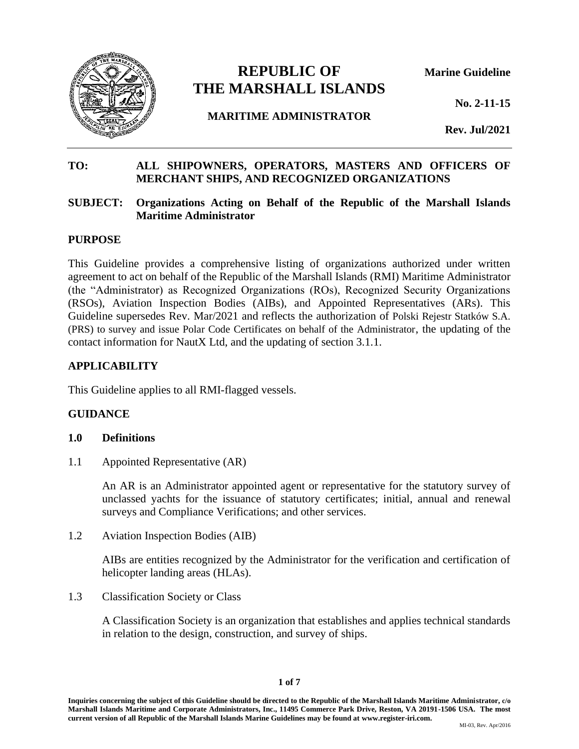

# **REPUBLIC OF Marine Guideline THE MARSHALL ISLANDS**

**No. 2-11-15**

**MARITIME ADMINISTRATOR**

**Rev. Jul/2021**

# **TO: ALL SHIPOWNERS, OPERATORS, MASTERS AND OFFICERS OF MERCHANT SHIPS, AND RECOGNIZED ORGANIZATIONS**

## **SUBJECT: Organizations Acting on Behalf of the Republic of the Marshall Islands Maritime Administrator**

#### **PURPOSE**

This Guideline provides a comprehensive listing of organizations authorized under written agreement to act on behalf of the Republic of the Marshall Islands (RMI) Maritime Administrator (the "Administrator) as Recognized Organizations (ROs), Recognized Security Organizations (RSOs), Aviation Inspection Bodies (AIBs), and Appointed Representatives (ARs). This Guideline supersedes Rev. Mar/2021 and reflects the authorization of Polski Rejestr Statków S.A. (PRS) to survey and issue Polar Code Certificates on behalf of the Administrator, the updating of the contact information for NautX Ltd, and the updating of section 3.1.1.

#### **APPLICABILITY**

This Guideline applies to all RMI-flagged vessels.

# **GUIDANCE**

#### **1.0 Definitions**

1.1 Appointed Representative (AR)

An AR is an Administrator appointed agent or representative for the statutory survey of unclassed yachts for the issuance of statutory certificates; initial, annual and renewal surveys and Compliance Verifications; and other services.

1.2 Aviation Inspection Bodies (AIB)

AIBs are entities recognized by the Administrator for the verification and certification of helicopter landing areas (HLAs).

1.3 Classification Society or Class

A Classification Society is an organization that establishes and applies technical standards in relation to the design, construction, and survey of ships.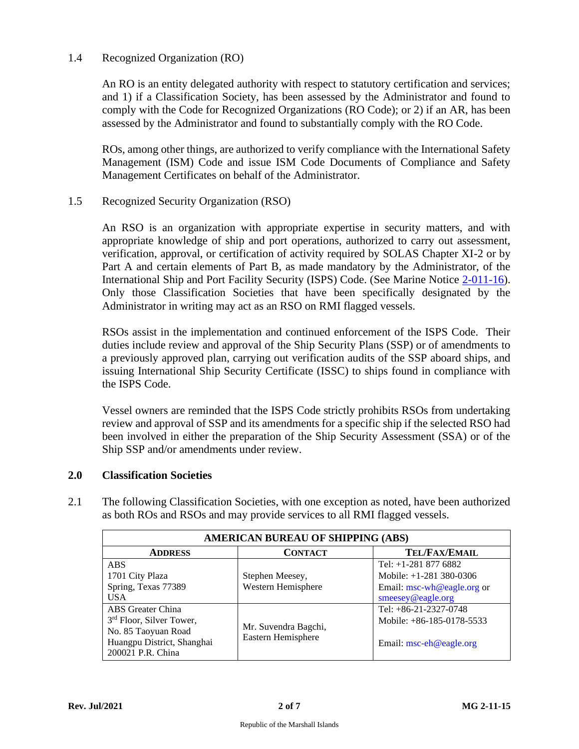## 1.4 Recognized Organization (RO)

An RO is an entity delegated authority with respect to statutory certification and services; and 1) if a Classification Society, has been assessed by the Administrator and found to comply with the Code for Recognized Organizations (RO Code); or 2) if an AR, has been assessed by the Administrator and found to substantially comply with the RO Code.

ROs, among other things, are authorized to verify compliance with the International Safety Management (ISM) Code and issue ISM Code Documents of Compliance and Safety Management Certificates on behalf of the Administrator.

#### 1.5 Recognized Security Organization (RSO)

An RSO is an organization with appropriate expertise in security matters, and with appropriate knowledge of ship and port operations, authorized to carry out assessment, verification, approval, or certification of activity required by SOLAS Chapter XI-2 or by Part A and certain elements of Part B, as made mandatory by the Administrator, of the International Ship and Port Facility Security (ISPS) Code. (See Marine Notice [2-011-16\)](http://www.register-iri.com/forms/upload/MN-2-011-16.pdf). Only those Classification Societies that have been specifically designated by the Administrator in writing may act as an RSO on RMI flagged vessels.

RSOs assist in the implementation and continued enforcement of the ISPS Code. Their duties include review and approval of the Ship Security Plans (SSP) or of amendments to a previously approved plan, carrying out verification audits of the SSP aboard ships, and issuing International Ship Security Certificate (ISSC) to ships found in compliance with the ISPS Code.

Vessel owners are reminded that the ISPS Code strictly prohibits RSOs from undertaking review and approval of SSP and its amendments for a specific ship if the selected RSO had been involved in either the preparation of the Ship Security Assessment (SSA) or of the Ship SSP and/or amendments under review.

#### **2.0 Classification Societies**

| <b>AMERICAN BUREAU OF SHIPPING (ABS)</b> |                                            |                            |
|------------------------------------------|--------------------------------------------|----------------------------|
| <b>ADDRESS</b>                           | <b>CONTACT</b>                             | <b>TEL/FAX/EMAIL</b>       |
| <b>ABS</b>                               |                                            | Tel: $+1-2818776882$       |
| 1701 City Plaza                          | Stephen Meesey,                            | Mobile: $+1-281$ 380-0306  |
| Spring, Texas 77389                      | Western Hemisphere                         | Email: msc-wh@eagle.org or |
| <b>USA</b>                               |                                            | smeesey@eagle.org          |
| ABS Greater China                        |                                            | Tel: $+86-21-2327-0748$    |
| 3 <sup>rd</sup> Floor, Silver Tower,     |                                            | Mobile: +86-185-0178-5533  |
| No. 85 Taoyuan Road                      | Mr. Suvendra Bagchi,<br>Eastern Hemisphere |                            |
| Huangpu District, Shanghai               |                                            | Email: $msc-eh@eagle.org$  |
| 200021 P.R. China                        |                                            |                            |

2.1 The following Classification Societies, with one exception as noted, have been authorized as both ROs and RSOs and may provide services to all RMI flagged vessels.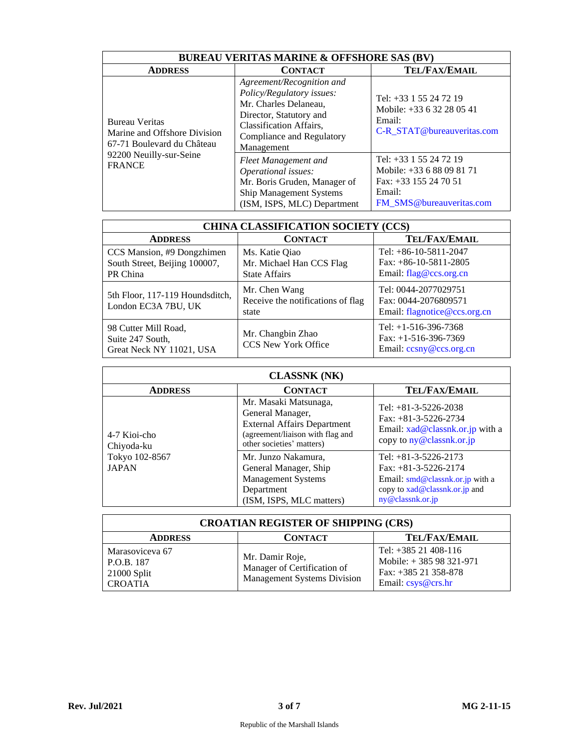| <b>BUREAU VERITAS MARINE &amp; OFFSHORE SAS (BV)</b>                                |                                                                                                                                                                                         |                                                                                                                      |
|-------------------------------------------------------------------------------------|-----------------------------------------------------------------------------------------------------------------------------------------------------------------------------------------|----------------------------------------------------------------------------------------------------------------------|
| <b>ADDRESS</b>                                                                      | <b>CONTACT</b>                                                                                                                                                                          | <b>TEL/FAX/EMAIL</b>                                                                                                 |
| <b>Bureau Veritas</b><br>Marine and Offshore Division<br>67-71 Boulevard du Château | Agreement/Recognition and<br>Policy/Regulatory issues:<br>Mr. Charles Delaneau,<br>Director, Statutory and<br><b>Classification Affairs,</b><br>Compliance and Regulatory<br>Management | Tel: +33 1 55 24 72 19<br>Mobile: +33 6 32 28 05 41<br>Email:<br>C-R STAT@bureauveritas.com                          |
| 92200 Neuilly-sur-Seine<br><b>FRANCE</b>                                            | Fleet Management and<br>Operational issues:<br>Mr. Boris Gruden, Manager of<br><b>Ship Management Systems</b><br>(ISM, ISPS, MLC) Department                                            | Tel: +33 1 55 24 72 19<br>Mobile: +33 6 88 09 81 71<br>Fax: $+33$ 155 24 70 51<br>Email:<br>FM_SMS@bureauveritas.com |

| <b>CHINA CLASSIFICATION SOCIETY (CCS)</b>                               |                                                                    |                                                                              |
|-------------------------------------------------------------------------|--------------------------------------------------------------------|------------------------------------------------------------------------------|
| <b>ADDRESS</b>                                                          | <b>CONTACT</b>                                                     | <b>TEL/FAX/EMAIL</b>                                                         |
| CCS Mansion, #9 Dongzhimen<br>South Street, Beijing 100007,<br>PR China | Ms. Katie Qiao<br>Mr. Michael Han CCS Flag<br><b>State Affairs</b> | Tel: $+86-10-5811-2047$<br>Fax: $+86-10-5811-2805$<br>Email: flag@ccs.org.cn |
| 5th Floor, 117-119 Houndsditch,<br>London EC3A 7BU, UK                  | Mr. Chen Wang<br>Receive the notifications of flag<br>state        | Tel: 0044-2077029751<br>Fax: 0044-2076809571<br>Email: flagnotice@ccs.org.cn |
| 98 Cutter Mill Road,<br>Suite 247 South,<br>Great Neck NY 11021, USA    | Mr. Changbin Zhao<br><b>CCS New York Office</b>                    | Tel: $+1-516-396-7368$<br>Fax: $+1-516-396-7369$<br>Email: ccsny@ccs.org.cn  |

| <b>CLASSNK (NK)</b>            |                                                                                                                                                  |                                                                                                                                               |
|--------------------------------|--------------------------------------------------------------------------------------------------------------------------------------------------|-----------------------------------------------------------------------------------------------------------------------------------------------|
| <b>ADDRESS</b>                 | <b>CONTACT</b>                                                                                                                                   | <b>TEL/FAX/EMAIL</b>                                                                                                                          |
| 4-7 Kioi-cho<br>Chiyoda-ku     | Mr. Masaki Matsunaga,<br>General Manager,<br><b>External Affairs Department</b><br>(agreement/liaison with flag and<br>other societies' matters) | Tel: $+81-3-5226-2038$<br>Fax: $+81-3-5226-2734$<br>Email: xad@classnk.or.jp with a<br>copy to ny@classnk.or.jp                               |
| Tokyo 102-8567<br><b>JAPAN</b> | Mr. Junzo Nakamura,<br>General Manager, Ship<br><b>Management Systems</b><br>Department<br>(ISM, ISPS, MLC matters)                              | Tel: $+81-3-5226-2173$<br>Fax: $+81-3-5226-2174$<br>Email: smd@classnk.or.jp with a<br>copy to $xad@classnk.$ or . ip and<br>ny@classnk.or.jp |

| <b>CROATIAN REGISTER OF SHIPPING (CRS)</b>                       |                                                                                      |                                                                                                   |
|------------------------------------------------------------------|--------------------------------------------------------------------------------------|---------------------------------------------------------------------------------------------------|
| <b>ADDRESS</b>                                                   | <b>CONTACT</b>                                                                       | <b>TEL/FAX/EMAIL</b>                                                                              |
| Marasoviceva 67<br>P.O.B. 187<br>$21000$ Split<br><b>CROATIA</b> | Mr. Damir Roje,<br>Manager of Certification of<br><b>Management Systems Division</b> | Tel: $+385$ 21 408-116<br>Mobile: $+38598321-971$<br>Fax: $+385$ 21 358-878<br>Email: csys@crs.hr |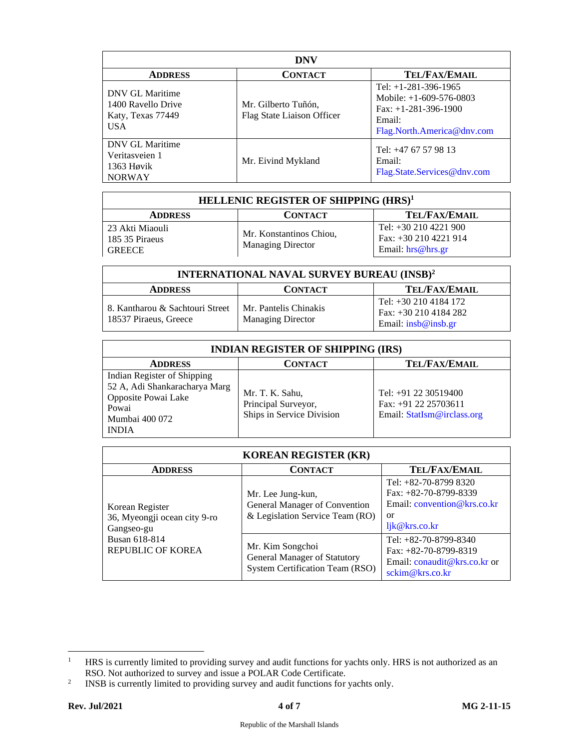| <b>DNV</b>                                                         |                                                   |                                                                                                                       |
|--------------------------------------------------------------------|---------------------------------------------------|-----------------------------------------------------------------------------------------------------------------------|
| <b>ADDRESS</b>                                                     | <b>CONTACT</b>                                    | <b>TEL/FAX/EMAIL</b>                                                                                                  |
| DNV GL Maritime<br>1400 Ravello Drive<br>Katy, Texas 77449<br>USA. | Mr. Gilberto Tuñón,<br>Flag State Liaison Officer | Tel: $+1-281-396-1965$<br>Mobile: $+1-609-576-0803$<br>Fax: $+1-281-396-1900$<br>Email:<br>Flag.North.America@dnv.com |
| DNV GL Maritime<br>Veritasveien 1<br>1363 Høvik<br><b>NORWAY</b>   | Mr. Eivind Mykland                                | Tel: $+47$ 67 57 98 13<br>Email:<br>Flag.State.Services@dnv.com                                                       |

| HELLENIC REGISTER OF SHIPPING (HRS) <sup>1</sup>    |                                                     |                                                                    |
|-----------------------------------------------------|-----------------------------------------------------|--------------------------------------------------------------------|
| <b>ADDRESS</b>                                      | <b>CONTACT</b>                                      | TEL/FAX/EMAIL                                                      |
| -23 Akti Miaouli<br>185 35 Piraeus<br><b>GREECE</b> | Mr. Konstantinos Chiou,<br><b>Managing Director</b> | Tel: $+302104221900$<br>Fax: +30 210 4221 914<br>Email: hrs@hrs.gr |

| <b>INTERNATIONAL NAVAL SURVEY BUREAU (INSB)<sup>2</sup></b> |                                                   |                                                                        |
|-------------------------------------------------------------|---------------------------------------------------|------------------------------------------------------------------------|
| <b>ADDRESS</b>                                              | <b>CONTACT</b>                                    | <b>TEL/FAX/EMAIL</b>                                                   |
| 8. Kantharou & Sachtouri Street<br>18537 Piraeus, Greece    | Mr. Pantelis Chinakis<br><b>Managing Director</b> | Tel: +30 210 4184 172<br>Fax: $+302104184282$<br>Email: $insb@insb.gr$ |

| <b>INDIAN REGISTER OF SHIPPING (IRS)</b>                                                                                       |                                                                     |                                                                              |
|--------------------------------------------------------------------------------------------------------------------------------|---------------------------------------------------------------------|------------------------------------------------------------------------------|
| <b>ADDRESS</b>                                                                                                                 | CONTACT                                                             | <b>TEL/FAX/EMAIL</b>                                                         |
| Indian Register of Shipping<br>52 A, Adi Shankaracharya Marg<br>Opposite Powai Lake<br>Powai<br>Mumbai 400 072<br><b>INDIA</b> | Mr. T. K. Sahu,<br>Principal Surveyor,<br>Ships in Service Division | Tel: $+91$ 22 30519400<br>Fax: +91 22 25703611<br>Email: StatIsm@irclass.org |

| <b>KOREAN REGISTER (KR)</b>                                   |                                                                                            |                                                                                                         |
|---------------------------------------------------------------|--------------------------------------------------------------------------------------------|---------------------------------------------------------------------------------------------------------|
| <b>ADDRESS</b>                                                | <b>CONTACT</b>                                                                             | <b>TEL/FAX/EMAIL</b>                                                                                    |
| Korean Register<br>36, Myeongji ocean city 9-ro<br>Gangseo-gu | Mr. Lee Jung-kun,<br>General Manager of Convention<br>& Legislation Service Team (RO)      | Tel: $+82-70-87998320$<br>Fax: $+82-70-8799-8339$<br>Email: convention@krs.co.kr<br>or<br>ljk@krs.co.kr |
| Busan 618-814<br><b>REPUBLIC OF KOREA</b>                     | Mr. Kim Songchoi<br>General Manager of Statutory<br><b>System Certification Team (RSO)</b> | Tel: $+82-70-8799-8340$<br>Fax: $+82-70-8799-8319$<br>Email: conaudit@krs.co.kr or<br>sckim@krs.co.kr   |

<sup>&</sup>lt;sup>1</sup> HRS is currently limited to providing survey and audit functions for yachts only. HRS is not authorized as an RSO. Not authorized to survey and issue a POLAR Code Certificate.

<sup>2</sup> INSB is currently limited to providing survey and audit functions for yachts only.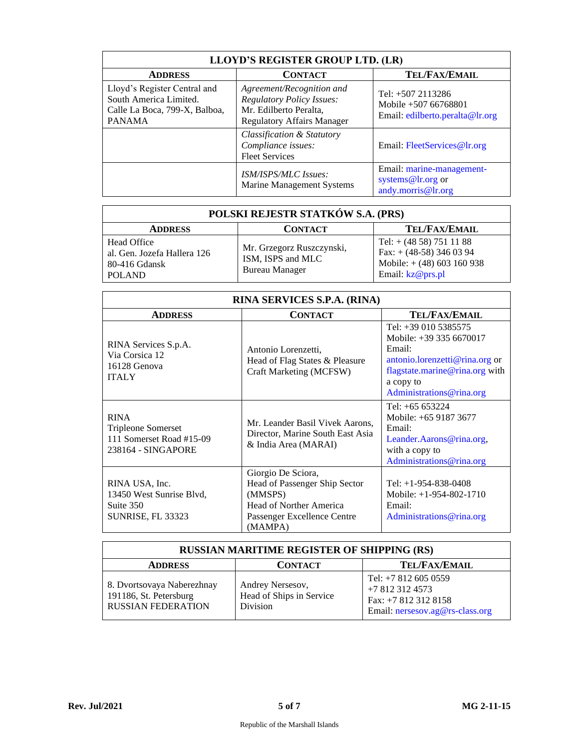| LLOYD'S REGISTER GROUP LTD. (LR)                                                                         |                                                                                                                              |                                                                               |
|----------------------------------------------------------------------------------------------------------|------------------------------------------------------------------------------------------------------------------------------|-------------------------------------------------------------------------------|
| <b>ADDRESS</b>                                                                                           | <b>CONTACT</b>                                                                                                               | <b>TEL/FAX/EMAIL</b>                                                          |
| Lloyd's Register Central and<br>South America Limited.<br>Calle La Boca, 799-X, Balboa,<br><b>PANAMA</b> | Agreement/Recognition and<br><b>Regulatory Policy Issues:</b><br>Mr. Edilberto Peralta,<br><b>Regulatory Affairs Manager</b> | Tel: $+5072113286$<br>Mobile +507 66768801<br>Email: edilberto.peralta@lr.org |
|                                                                                                          | <b>Classification &amp; Statutory</b><br>Compliance issues:<br><b>Fleet Services</b>                                         | Email: FleetServices@lr.org                                                   |
|                                                                                                          | <b>ISM/ISPS/MLC Issues:</b><br>Marine Management Systems                                                                     | Email: marine-management-<br>systems@lr.org or<br>andy.morris@lr.org          |

| POLSKI REJESTR STATKÓW S.A. (PRS)                                            |                                                                         |                                                                                                           |
|------------------------------------------------------------------------------|-------------------------------------------------------------------------|-----------------------------------------------------------------------------------------------------------|
| <b>ADDRESS</b>                                                               | <b>CONTACT</b>                                                          | <b>TEL/FAX/EMAIL</b>                                                                                      |
| Head Office<br>al. Gen. Jozefa Hallera 126<br>80-416 Gdansk<br><b>POLAND</b> | Mr. Grzegorz Ruszczynski,<br>ISM, ISPS and MLC<br><b>Bureau Manager</b> | Tel: $+(4858) 751 11 88$<br>Fax: $+$ (48-58) 346 03 94<br>Mobile: $+(48)$ 603 160 938<br>Email: kz@prs.pl |

| RINA SERVICES S.P.A. (RINA)                                                                |                                                                                                                                     |                                                                                                                                                                        |  |  |  |
|--------------------------------------------------------------------------------------------|-------------------------------------------------------------------------------------------------------------------------------------|------------------------------------------------------------------------------------------------------------------------------------------------------------------------|--|--|--|
| <b>ADDRESS</b>                                                                             | <b>CONTACT</b>                                                                                                                      | <b>TEL/FAX/EMAIL</b>                                                                                                                                                   |  |  |  |
| RINA Services S.p.A.<br>Via Corsica 12<br>16128 Genova<br><b>ITALY</b>                     | Antonio Lorenzetti,<br>Head of Flag States & Pleasure<br>Craft Marketing (MCFSW)                                                    | Tel: $+390105385575$<br>Mobile: +39 335 6670017<br>Email:<br>antonio.lorenzetti@rina.org or<br>flagstate.marine@rina.org with<br>a copy to<br>Administrations@rina.org |  |  |  |
| <b>RINA</b><br><b>Tripleone Somerset</b><br>111 Somerset Road #15-09<br>238164 - SINGAPORE | Mr. Leander Basil Vivek Aarons,<br>Director, Marine South East Asia<br>& India Area (MARAI)                                         | Tel: $+65653224$<br>Mobile: +65 9187 3677<br>Email:<br>Leander.Aarons@rina.org.<br>with a copy to<br>Administrations@rina.org                                          |  |  |  |
| RINA USA, Inc.<br>13450 West Sunrise Blvd,<br>Suite 350<br><b>SUNRISE, FL 33323</b>        | Giorgio De Sciora,<br>Head of Passenger Ship Sector<br>(MMSPS)<br>Head of Norther America<br>Passenger Excellence Centre<br>(MAMPA) | Tel: $+1-954-838-0408$<br>Mobile: $+1-954-802-1710$<br>Email:<br>Administrations@rina.org                                                                              |  |  |  |

| <b>RUSSIAN MARITIME REGISTER OF SHIPPING (RS)</b>                                 |                                                                 |                                                                                                   |  |  |
|-----------------------------------------------------------------------------------|-----------------------------------------------------------------|---------------------------------------------------------------------------------------------------|--|--|
| <b>ADDRESS</b>                                                                    | <b>CONTACT</b>                                                  | <b>TEL/FAX/EMAIL</b>                                                                              |  |  |
| 8. Dvortsovaya Naberezhnay<br>191186, St. Petersburg<br><b>RUSSIAN FEDERATION</b> | Andrey Nersesov,<br>Head of Ships in Service<br><b>Division</b> | Tel: $+78126050559$<br>+7 812 312 4573<br>Fax: +7 812 312 8158<br>Email: nersesov.ag@rs-class.org |  |  |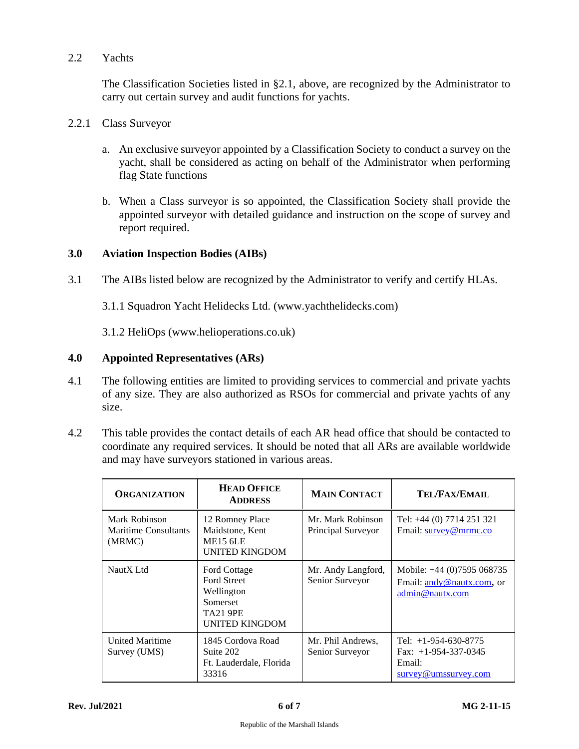## 2.2 Yachts

The Classification Societies listed in §2.1, above, are recognized by the Administrator to carry out certain survey and audit functions for yachts.

#### 2.2.1 Class Surveyor

- a. An exclusive surveyor appointed by a Classification Society to conduct a survey on the yacht, shall be considered as acting on behalf of the Administrator when performing flag State functions
- b. When a Class surveyor is so appointed, the Classification Society shall provide the appointed surveyor with detailed guidance and instruction on the scope of survey and report required.

# **3.0 Aviation Inspection Bodies (AIBs)**

3.1 The AIBs listed below are recognized by the Administrator to verify and certify HLAs.

3.1.1 Squadron Yacht Helidecks Ltd. (www.yachthelidecks.com)

3.1.2 HeliOps (www.helioperations.co.uk)

## **4.0 Appointed Representatives (ARs)**

- 4.1 The following entities are limited to providing services to commercial and private yachts of any size. They are also authorized as RSOs for commercial and private yachts of any size.
- 4.2 This table provides the contact details of each AR head office that should be contacted to coordinate any required services. It should be noted that all ARs are available worldwide and may have surveyors stationed in various areas.

| <b>ORGANIZATION</b>                             | <b>HEAD OFFICE</b><br><b>ADDRESS</b>                                                                     | <b>MAIN CONTACT</b>                     | TEL/FAX/EMAIL                                                                      |
|-------------------------------------------------|----------------------------------------------------------------------------------------------------------|-----------------------------------------|------------------------------------------------------------------------------------|
| Mark Robinson<br>Maritime Consultants<br>(MRMC) | 12 Romney Place<br>Maidstone, Kent<br>ME <sub>15</sub> 6LE<br><b>UNITED KINGDOM</b>                      | Mr. Mark Robinson<br>Principal Surveyor | Tel: +44 (0) 7714 251 321<br>Email: survey@mrmc.co                                 |
| NautX Ltd                                       | Ford Cottage<br><b>Ford Street</b><br>Wellington<br>Somerset<br><b>TA21 9PE</b><br><b>UNITED KINGDOM</b> | Mr. Andy Langford,<br>Senior Surveyor   | Mobile: +44 (0)7595 068735<br>Email: andy @nautx.com, or<br>admin@nautx.com        |
| <b>United Maritime</b><br>Survey (UMS)          | 1845 Cordova Road<br>Suite 202<br>Ft. Lauderdale, Florida<br>33316                                       | Mr. Phil Andrews,<br>Senior Surveyor    | Tel: $+1-954-630-8775$<br>Fax: $+1-954-337-0345$<br>Email:<br>survey@umssurvey.com |